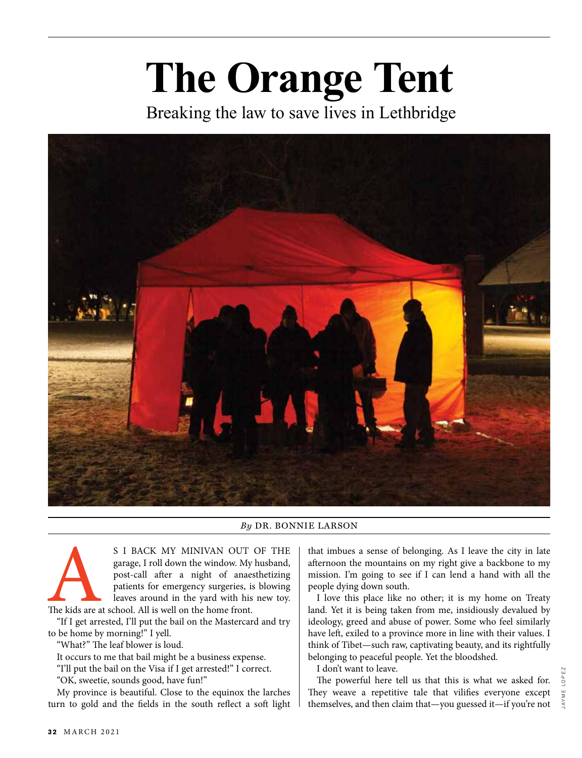## **The Orange Tent**

Breaking the law to save lives in Lethbridge



## *By* DR. BONNIE LARSON

S I BACK MY MINIVAN OUT OF THE<br>garage, I roll down the window. My husband,<br>post-call after a night of anaesthetizing<br>patients for emergency surgeries, is blowing<br>leaves around in the yard with his new toy.<br>"If I get arrest garage, I roll down the window. My husband, post-call after a night of anaesthetizing patients for emergency surgeries, is blowing leaves around in the yard with his new toy. The kids are at school. All is well on the home front.

"If I get arrested, I'll put the bail on the Mastercard and try to be home by morning!" I yell.

"What?" The leaf blower is loud.

It occurs to me that bail might be a business expense.

"I'll put the bail on the Visa if I get arrested!" I correct.

"OK, sweetie, sounds good, have fun!"

My province is beautiful. Close to the equinox the larches turn to gold and the fields in the south reflect a soft light that imbues a sense of belonging. As I leave the city in late afternoon the mountains on my right give a backbone to my mission. I'm going to see if I can lend a hand with all the people dying down south.

I love this place like no other; it is my home on Treaty land. Yet it is being taken from me, insidiously devalued by ideology, greed and abuse of power. Some who feel similarly have left, exiled to a province more in line with their values. I think of Tibet—such raw, captivating beauty, and its rightfully belonging to peaceful people. Yet the bloodshed.

I don't want to leave.

The powerful here tell us that this is what we asked for. They weave a repetitive tale that vilifies everyone except themselves, and then claim that—you guessed it—if you're not